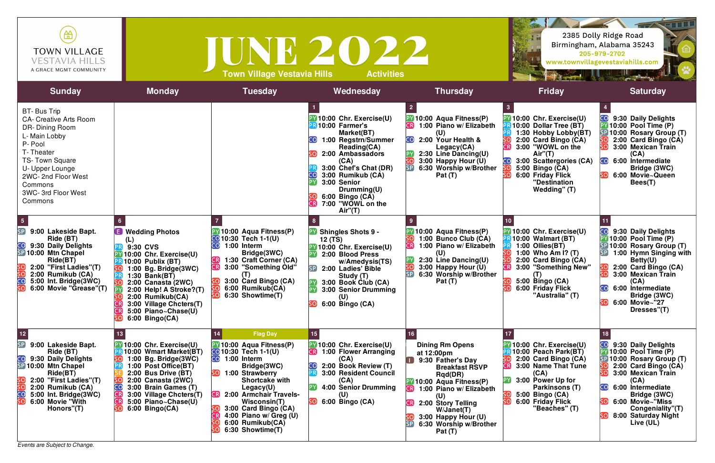*Events are Subject to Change.*



| a<br>Ba                                                                                                                                                                                                                                                                                                                                                                                  | 2385 Dolly Ridge Road<br>Birmingham, Alabama 35243<br>205-979-2702<br>www.townvillagevestaviahills.com                                                                                                                                                                                                                                  |
|------------------------------------------------------------------------------------------------------------------------------------------------------------------------------------------------------------------------------------------------------------------------------------------------------------------------------------------------------------------------------------------|-----------------------------------------------------------------------------------------------------------------------------------------------------------------------------------------------------------------------------------------------------------------------------------------------------------------------------------------|
| <b>Friday</b>                                                                                                                                                                                                                                                                                                                                                                            | <b>Saturday</b>                                                                                                                                                                                                                                                                                                                         |
| $\overline{\mathbf{3}}$<br><b>PV</b> 10:00 Chr. Exercise(U)<br><b>PR 10:00 Dollar Tree (BT)</b><br><b>BR</b> 1:30 Hobby Lobby(BT)<br>$\overline{\mathsf{SO}}$<br>2:00 Card Bingo (CA)<br><b>CR</b><br>3:00 "WOWL on the<br>Air"(T)<br><b>CO</b> 3:00 Scattergories (CA)<br>5:00 Bingo (CA)<br><u>so</u><br>$\overline{\mathsf{SO}}$<br>6:00 Friday Flick<br>"Destination<br>Wedding" (T) | 4<br>9:30 Daily Delights<br>10:00 Pool Time (P)<br>PYI<br>SP 10:00 Rosary Group (T)<br>2:00 Card Bingo (CA)<br>SOJ<br>$\overline{\mathsf{SO}}$<br>3:00 Mexican Train<br>(CA)<br>$\overline{\mathsf{CO}}$<br>6:00 Intermediate<br>Bridge (3WC)<br>SO<br>6:00 Movie~Queen<br>Bees(T)                                                      |
| 10<br><b>PV</b> 10:00 Chr. Exercise(U)<br><b>PR 10:00 Walmart (BT)</b><br>PR<br>1:00 Ollies(BT)<br>SO.<br>1:00 Who $\overline{Am}$ i? (T)<br>SO<br>2:00 Card Bingo (CA)<br>3:00 "Something New"<br>CR <sup>)</sup><br>(T)<br>5:00 Bingo (CA)<br>SO<br>SO<br>6:00 Friday Flick<br>"Australia" (T)                                                                                         | 11<br>CO <mark>l</mark><br>9:30 Daily Delights<br><b>PY 10:00 Pool Time (P)</b><br>SP 10:00 Rosary Group (T)<br>$\mathsf{SP}\mathsf{I}$<br>1:00 Hymn Singing with<br>Betty(U)<br>2:00 Card Bingo (CA)<br>3:00 Mexican Train<br><u>so</u><br>(CA)<br><b>CO</b> 6:00 Intermediate<br>Bridge (3WC)<br>SO)<br>6:00 Movie~"27<br>Dresses"(T) |
| 17<br><b>PY 10:00 Chr. Exercise(U)</b><br><b>PR 10:00 Peach Park(BT)</b><br>SO)<br>2:00 Card Bingo (CA)<br>CR)<br>3:00 Name That Tune<br>(CA)<br>$\bm{\mathsf{PY}}$<br>3:00 Power Up for<br>Parkinsons (T)<br><u>so</u><br>5:00 Bingo (CA)<br>SO)<br>6:00 Friday Flick<br>"Beaches" (T)                                                                                                  | 18<br><b>CO</b> 9:30 Daily Delights<br>PY 10:00 Pool Time (P)<br>SP 10:00 Rosary Group (T)<br>2:00 Card Bingo (CA)<br><u>SO</u><br>SO<br>3:00 Mexican Train<br>(CA)<br>CO<br>6:00 Intermediate<br>Bridge (3WC)<br><u>so</u><br>6:00 Movie~"Miss<br>Congeniality"(T)<br>SO)<br>8:00 Saturday Night<br>Live (UL)                          |